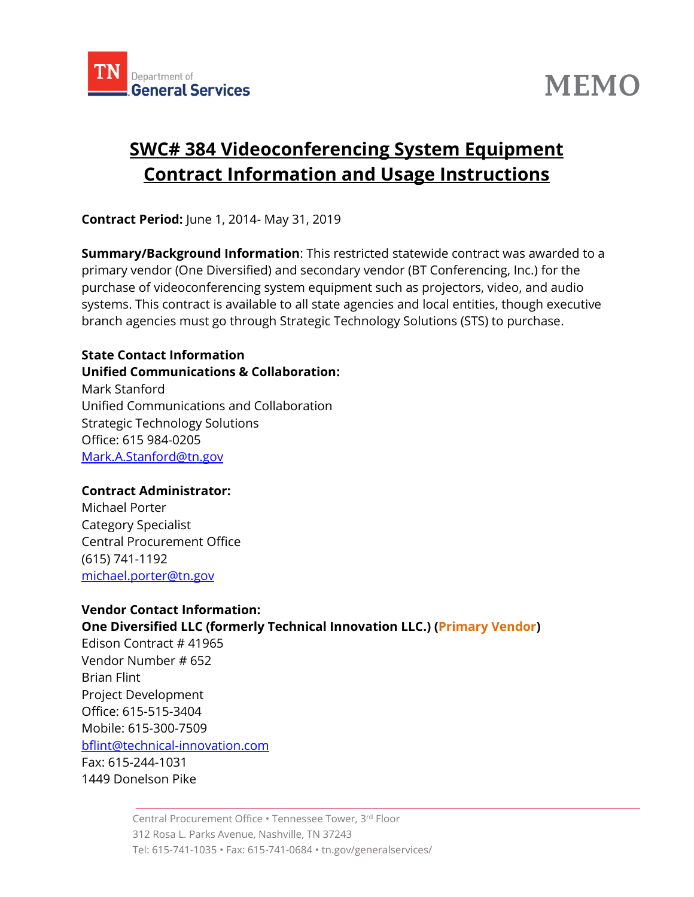



# **SWC# 384 Videoconferencing System Equipment Contract Information and Usage Instructions**

**Contract Period:** June 1, 2014- May 31, 2019

**Summary/Background Information**: This restricted statewide contract was awarded to a primary vendor (One Diversified) and secondary vendor (BT Conferencing, Inc.) for the purchase of videoconferencing system equipment such as projectors, video, and audio systems. This contract is available to all state agencies and local entities, though executive branch agencies must go through Strategic Technology Solutions (STS) to purchase.

#### **State Contact Information Unified Communications & Collaboration:** Mark Stanford Unified Communications and Collaboration Strategic Technology Solutions Office: 615 984-0205

Mark.A.Stanford@tn.gov

#### **Contract Administrator:**

Michael Porter Category Specialist Central Procurement Office (615) 741-1192 [michael.porter@tn.gov](mailto:michael.porter@tn.gov)

#### **Vendor Contact Information:**

### **One Diversified LLC (formerly Technical Innovation LLC.) (Primary Vendor)**

Edison Contract # [41965](javascript:submitAction_win0(document.win0,) Vendor Number # 652 Brian Flint Project Development Office: 615-515-3404 Mobile: 615-300-7509 [bflint@technical-innovation.com](mailto:bflint@technical-innovation.com) Fax: 615-244-1031 1449 Donelson Pike

> Central Procurement Office • Tennessee Tower, 3rd Floor 312 Rosa L. Parks Avenue, Nashville, TN 37243 Tel: 615-741-1035 • Fax: 615-741-0684 • tn.gov/generalservices/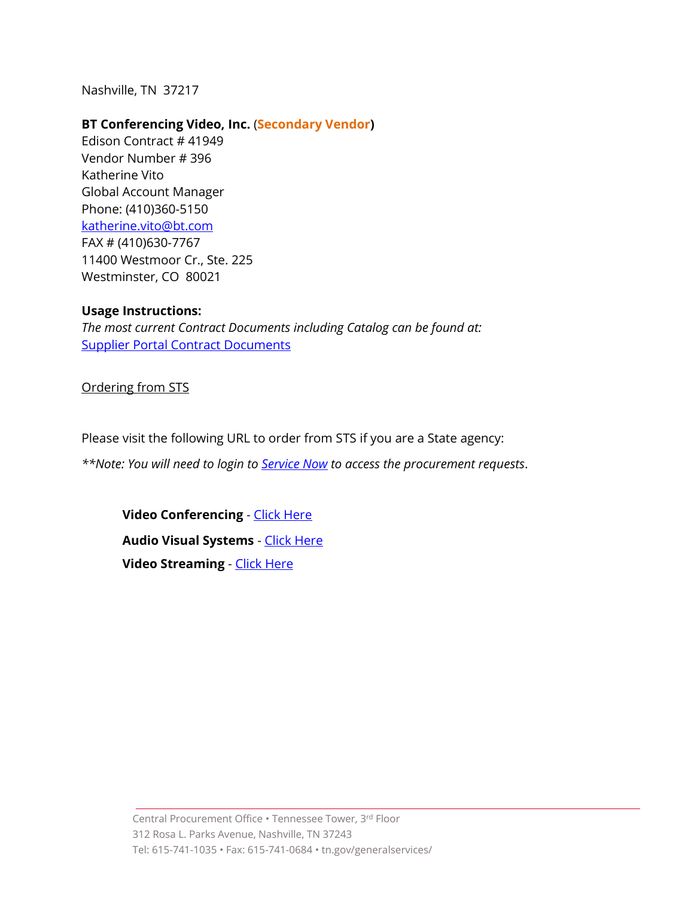Nashville, TN 37217

#### **BT Conferencing Video, Inc.** (**Secondary Vendor)**

Edison Contract # [41949](javascript:submitAction_win0(document.win0,) Vendor Number # 396 Katherine Vito Global Account Manager Phone: (410)360-5150 [katherine.vito@bt.com](mailto:katherine.vito@bt.com) FAX # (410)630-7767 11400 Westmoor Cr., Ste. 225 Westminster, CO 80021

#### **Usage Instructions:**

*The most current Contract Documents including Catalog can be found at:*  [Supplier Portal Contract Documents](https://sso.edison.tn.gov/psp/paprd/SUPPLIER/SUPP/h/?tab=PAPP_GUEST)

Ordering from STS

Please visit the following URL to order from STS if you are a State agency:

*\*\*Note: You will need to login to [Service Now](https://tn.service-now.com/sp) to access the procurement requests*.

**Video Conferencing - [Click Here](https://www.teamtn.gov/sts/all-services/video--web--application-services/video-conferencing.html) Audio Visual Systems** - [Click Here](https://www.teamtn.gov/sts/all-services/video--web--application-services/audiovisual-systems--integrated.html) **Video Streaming** - [Click Here](https://www.teamtn.gov/sts/all-services/video--web--application-services/streaming-video.html)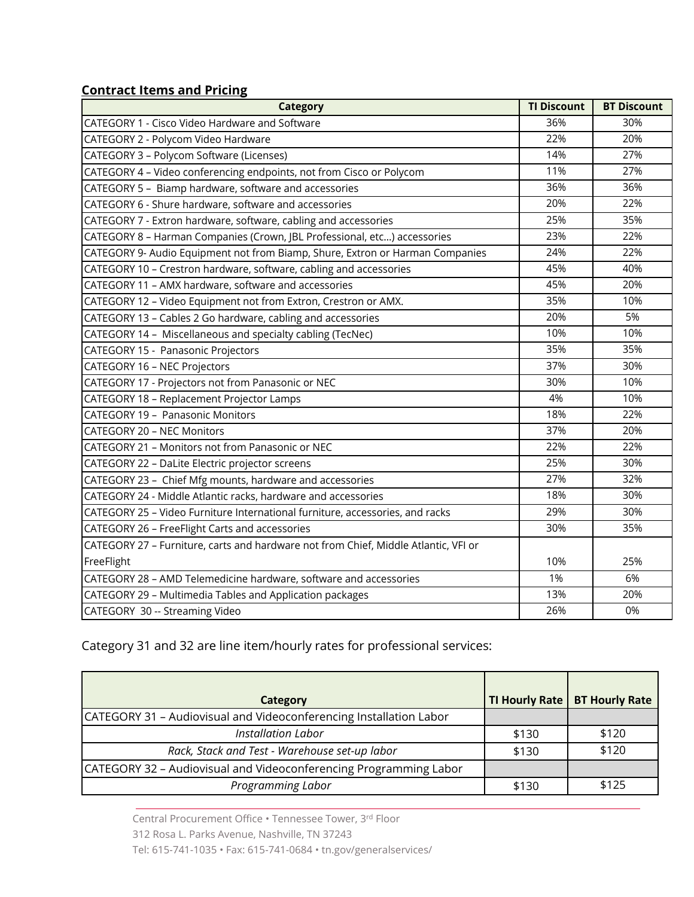### **Contract Items and Pricing**

| <b>Category</b>                                                                     | <b>TI Discount</b> | <b>BT Discount</b> |
|-------------------------------------------------------------------------------------|--------------------|--------------------|
| CATEGORY 1 - Cisco Video Hardware and Software                                      | 36%                | 30%                |
| CATEGORY 2 - Polycom Video Hardware                                                 | 22%                | 20%                |
| CATEGORY 3 - Polycom Software (Licenses)                                            | 14%                | 27%                |
| CATEGORY 4 - Video conferencing endpoints, not from Cisco or Polycom                | 11%                | 27%                |
| CATEGORY 5 - Biamp hardware, software and accessories                               | 36%                | 36%                |
| CATEGORY 6 - Shure hardware, software and accessories                               | 20%                | 22%                |
| CATEGORY 7 - Extron hardware, software, cabling and accessories                     | 25%                | 35%                |
| CATEGORY 8 - Harman Companies (Crown, JBL Professional, etc) accessories            | 23%                | 22%                |
| CATEGORY 9- Audio Equipment not from Biamp, Shure, Extron or Harman Companies       | 24%                | 22%                |
| CATEGORY 10 - Crestron hardware, software, cabling and accessories                  | 45%                | 40%                |
| CATEGORY 11 - AMX hardware, software and accessories                                | 45%                | 20%                |
| CATEGORY 12 - Video Equipment not from Extron, Crestron or AMX.                     | 35%                | 10%                |
| CATEGORY 13 - Cables 2 Go hardware, cabling and accessories                         | 20%                | 5%                 |
| CATEGORY 14 - Miscellaneous and specialty cabling (TecNec)                          | 10%                | 10%                |
| CATEGORY 15 - Panasonic Projectors                                                  | 35%                | 35%                |
| <b>CATEGORY 16 - NEC Projectors</b>                                                 | 37%                | 30%                |
| CATEGORY 17 - Projectors not from Panasonic or NEC                                  | 30%                | 10%                |
| CATEGORY 18 - Replacement Projector Lamps                                           | 4%                 | 10%                |
| <b>CATEGORY 19 - Panasonic Monitors</b>                                             | 18%                | 22%                |
| <b>CATEGORY 20 - NEC Monitors</b>                                                   | 37%                | 20%                |
| CATEGORY 21 - Monitors not from Panasonic or NEC                                    | 22%                | 22%                |
| CATEGORY 22 - DaLite Electric projector screens                                     | 25%                | 30%                |
| CATEGORY 23 - Chief Mfg mounts, hardware and accessories                            | 27%                | 32%                |
| CATEGORY 24 - Middle Atlantic racks, hardware and accessories                       | 18%                | 30%                |
| CATEGORY 25 - Video Furniture International furniture, accessories, and racks       | 29%                | 30%                |
| CATEGORY 26 - FreeFlight Carts and accessories                                      | 30%                | 35%                |
| CATEGORY 27 - Furniture, carts and hardware not from Chief, Middle Atlantic, VFI or |                    |                    |
| FreeFlight                                                                          | 10%                | 25%                |
| CATEGORY 28 - AMD Telemedicine hardware, software and accessories                   | 1%                 | 6%                 |
| CATEGORY 29 - Multimedia Tables and Application packages                            | 13%                | 20%                |
| CATEGORY 30 -- Streaming Video                                                      | 26%                | 0%                 |

## Category 31 and 32 are line item/hourly rates for professional services:

| Category                                                           |       | TI Hourly Rate   BT Hourly Rate |
|--------------------------------------------------------------------|-------|---------------------------------|
| CATEGORY 31 - Audiovisual and Videoconferencing Installation Labor |       |                                 |
| <b>Installation Labor</b>                                          | \$130 | \$120                           |
| Rack, Stack and Test - Warehouse set-up labor                      | \$130 | \$120                           |
| CATEGORY 32 - Audiovisual and Videoconferencing Programming Labor  |       |                                 |
| Programming Labor                                                  | \$130 | \$125                           |

Central Procurement Office • Tennessee Tower, 3 rd Floor 312 Rosa L. Parks Avenue, Nashville, TN 37243 Tel: 615-741-1035 • Fax: 615-741-0684 • tn.gov/generalservices/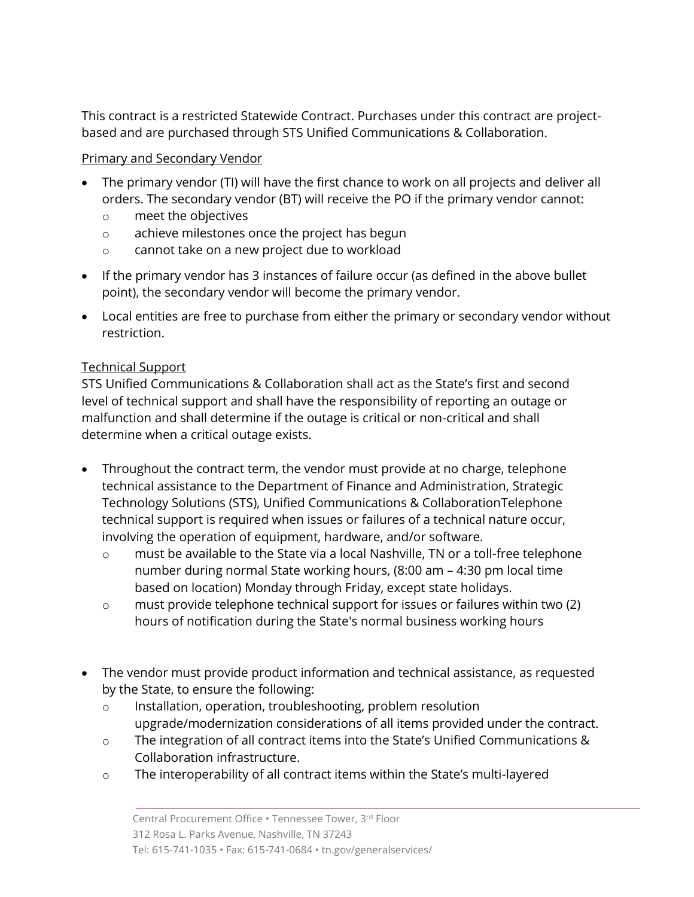This contract is a restricted Statewide Contract. Purchases under this contract are projectbased and are purchased through STS Unified Communications & Collaboration.

## Primary and Secondary Vendor

- The primary vendor (TI) will have the first chance to work on all projects and deliver all orders. The secondary vendor (BT) will receive the PO if the primary vendor cannot:
	- o meet the objectives
	- o achieve milestones once the project has begun
	- o cannot take on a new project due to workload
- If the primary vendor has 3 instances of failure occur (as defined in the above bullet point), the secondary vendor will become the primary vendor.
- Local entities are free to purchase from either the primary or secondary vendor without restriction.

## Technical Support

STS Unified Communications & Collaboration shall act as the State's first and second level of technical support and shall have the responsibility of reporting an outage or malfunction and shall determine if the outage is critical or non-critical and shall determine when a critical outage exists.

- Throughout the contract term, the vendor must provide at no charge, telephone technical assistance to the Department of Finance and Administration, Strategic Technology Solutions (STS), Unified Communications & CollaborationTelephone technical support is required when issues or failures of a technical nature occur, involving the operation of equipment, hardware, and/or software.
	- o must be available to the State via a local Nashville, TN or a toll-free telephone number during normal State working hours, (8:00 am – 4:30 pm local time based on location) Monday through Friday, except state holidays.
	- o must provide telephone technical support for issues or failures within two (2) hours of notification during the State's normal business working hours
- The vendor must provide product information and technical assistance, as requested by the State, to ensure the following:
	- o Installation, operation, troubleshooting, problem resolution upgrade/modernization considerations of all items provided under the contract.
	- o The integration of all contract items into the State's Unified Communications & Collaboration infrastructure.
	- o The interoperability of all contract items within the State's multi-layered